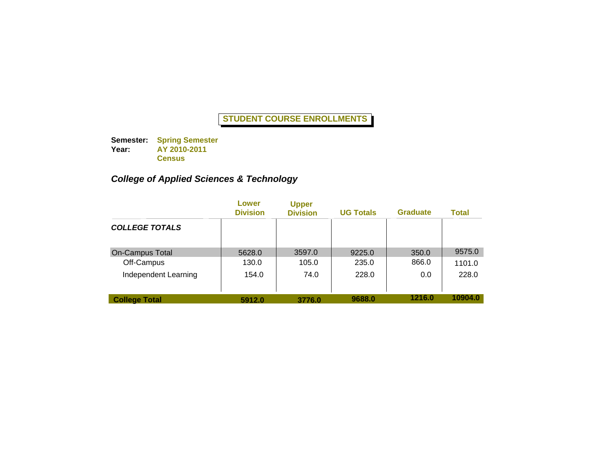**Semester: Spring Semester Year: AY 2010-2011 Census**

# *College of Applied Sciences & Technology*

|                        | Lower<br><b>Division</b> | <b>Upper</b><br><b>Division</b> | <b>UG Totals</b> | <b>Graduate</b> | Total   |
|------------------------|--------------------------|---------------------------------|------------------|-----------------|---------|
| <b>COLLEGE TOTALS</b>  |                          |                                 |                  |                 |         |
| <b>On-Campus Total</b> | 5628.0                   | 3597.0                          | 9225.0           | 350.0           | 9575.0  |
| Off-Campus             | 130.0                    | 105.0                           | 235.0            | 866.0           | 1101.0  |
| Independent Learning   | 154.0                    | 74.0                            | 228.0            | 0.0             | 228.0   |
| <b>College Total</b>   | 5912.0                   | 3776.0                          | 9688.0           | 1216.0          | 10904.0 |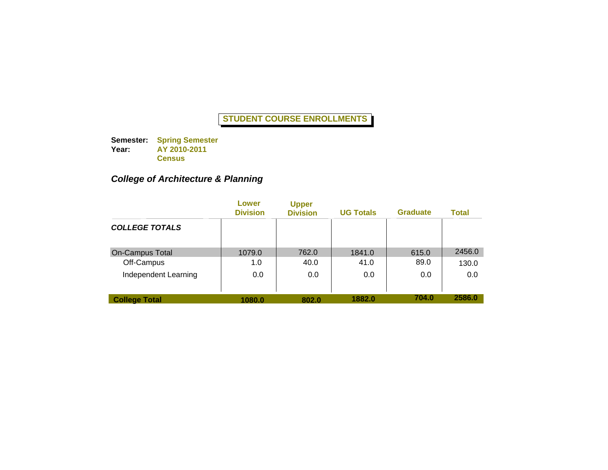**Semester: Spring Semester Year: AY 2010-2011 Census**

## *College of Architecture & Planning*

|                        | Lower<br><b>Division</b> | <b>Upper</b><br><b>Division</b> | <b>UG Totals</b> | <b>Graduate</b> | Total  |
|------------------------|--------------------------|---------------------------------|------------------|-----------------|--------|
| <b>COLLEGE TOTALS</b>  |                          |                                 |                  |                 |        |
| <b>On-Campus Total</b> | 1079.0                   | 762.0                           | 1841.0           | 615.0           | 2456.0 |
| Off-Campus             | 1.0                      | 40.0                            | 41.0             | 89.0            | 130.0  |
| Independent Learning   | 0.0                      | 0.0                             | 0.0              | 0.0             | 0.0    |
| <b>College Total</b>   | 1080.0                   | 802.0                           | 1882.0           | 704.0           | 2586.0 |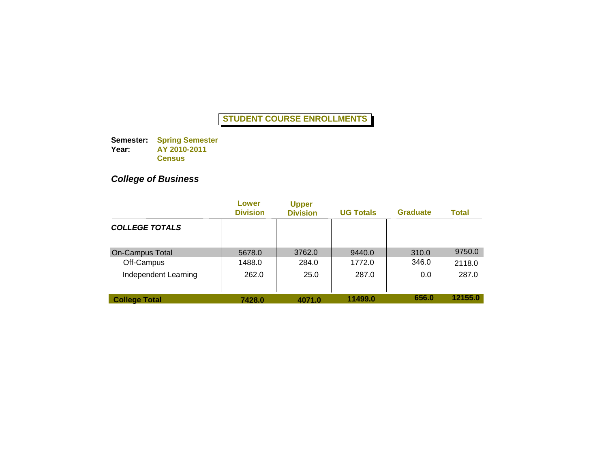**Semester: Spring Semester Year: AY 2010-2011 Census**

# *College of Business*

|                        | Lower<br><b>Division</b> | <b>Upper</b><br><b>Division</b> | <b>UG Totals</b> | <b>Graduate</b> | Total   |
|------------------------|--------------------------|---------------------------------|------------------|-----------------|---------|
| <b>COLLEGE TOTALS</b>  |                          |                                 |                  |                 |         |
| <b>On-Campus Total</b> | 5678.0                   | 3762.0                          | 9440.0           | 310.0           | 9750.0  |
| Off-Campus             | 1488.0                   | 284.0                           | 1772.0           | 346.0           | 2118.0  |
| Independent Learning   | 262.0                    | 25.0                            | 287.0            | 0.0             | 287.0   |
| <b>College Total</b>   | 7428.0                   | 4071.0                          | 11499.0          | 656.0           | 12155.0 |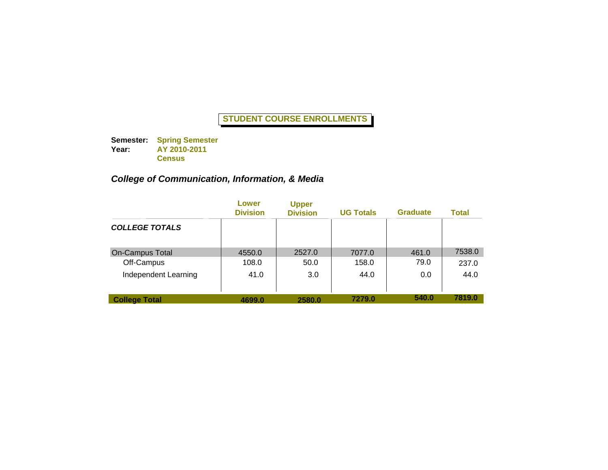**Semester: Spring Semester Year: AY 2010-2011 Census**

## *College of Communication, Information, & Media*

|                        | Lower<br><b>Division</b> | <b>Upper</b><br><b>Division</b> | <b>UG Totals</b> | <b>Graduate</b> | Total  |
|------------------------|--------------------------|---------------------------------|------------------|-----------------|--------|
| <b>COLLEGE TOTALS</b>  |                          |                                 |                  |                 |        |
| <b>On-Campus Total</b> | 4550.0                   | 2527.0                          | 7077.0           | 461.0           | 7538.0 |
| Off-Campus             | 108.0                    | 50.0                            | 158.0            | 79.0            | 237.0  |
| Independent Learning   | 41.0                     | 3.0                             | 44.0             | 0.0             | 44.0   |
| <b>College Total</b>   | 4699.0                   | 2580.0                          | 7279.0           | 540.0           | 7819.0 |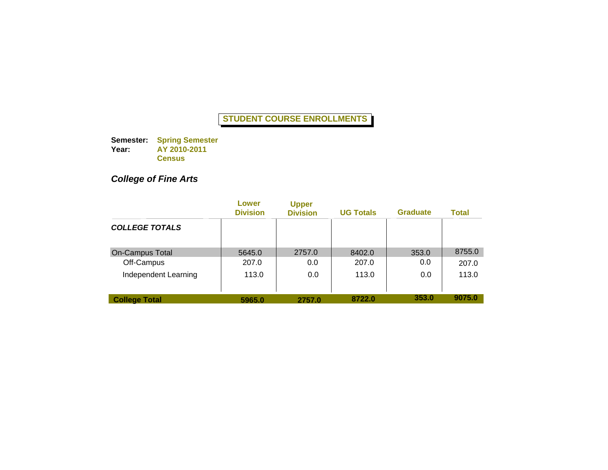**Semester: Spring Semester Year: AY 2010-2011 Census**

# *College of Fine Arts*

|                        | Lower<br><b>Division</b> | <b>Upper</b><br><b>Division</b> | <b>UG Totals</b> | <b>Graduate</b> | Total  |
|------------------------|--------------------------|---------------------------------|------------------|-----------------|--------|
| <b>COLLEGE TOTALS</b>  |                          |                                 |                  |                 |        |
| <b>On-Campus Total</b> | 5645.0                   | 2757.0                          | 8402.0           | 353.0           | 8755.0 |
| Off-Campus             | 207.0                    | 0.0                             | 207.0            | 0.0             | 207.0  |
| Independent Learning   | 113.0                    | 0.0                             | 113.0            | 0.0             | 113.0  |
| <b>College Total</b>   | 5965.0                   | 2757.0                          | 8722.0           | 353.0           | 9075.0 |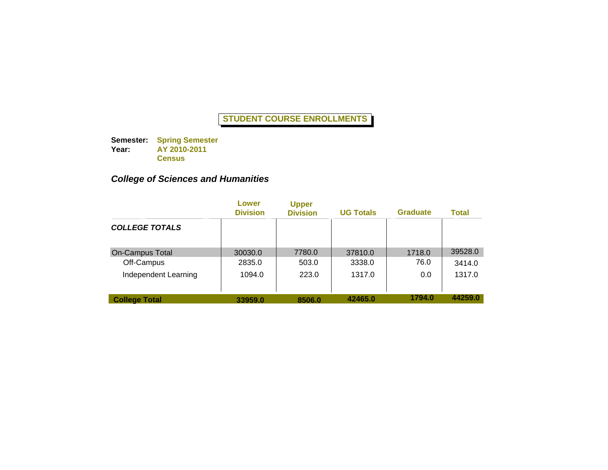**Semester: Spring Semester Year: AY 2010-2011 Census**

## *College of Sciences and Humanities*

|                        | Lower<br><b>Division</b> | <b>Upper</b><br><b>Division</b> | <b>UG Totals</b> | <b>Graduate</b> | Total   |
|------------------------|--------------------------|---------------------------------|------------------|-----------------|---------|
| <b>COLLEGE TOTALS</b>  |                          |                                 |                  |                 |         |
| <b>On-Campus Total</b> | 30030.0                  | 7780.0                          | 37810.0          | 1718.0          | 39528.0 |
| Off-Campus             | 2835.0                   | 503.0                           | 3338.0           | 76.0            | 3414.0  |
| Independent Learning   | 1094.0                   | 223.0                           | 1317.0           | 0.0             | 1317.0  |
| <b>College Total</b>   | 33959.0                  | 8506.0                          | 42465.0          | 1794.0          | 44259.0 |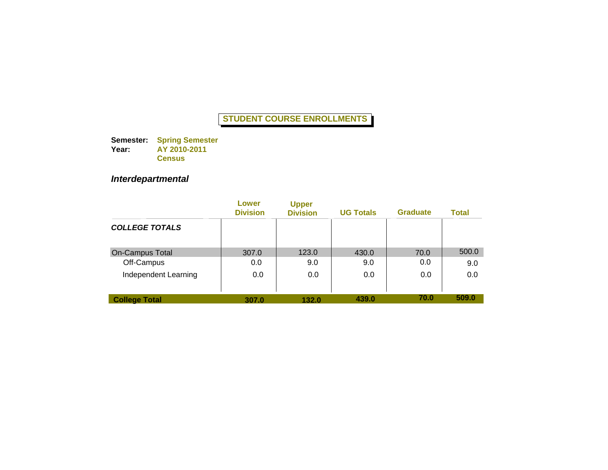**Semester: Year: Spring Semester AY 2010-2011 Census**

# *Interdepartmental*

|                        | Lower<br><b>Division</b> | <b>Upper</b><br><b>Division</b> | <b>UG Totals</b> | <b>Graduate</b> | <b>Total</b> |
|------------------------|--------------------------|---------------------------------|------------------|-----------------|--------------|
| <b>COLLEGE TOTALS</b>  |                          |                                 |                  |                 |              |
| <b>On-Campus Total</b> | 307.0                    | 123.0                           | 430.0            | 70.0            | 500.0        |
| Off-Campus             | 0.0                      | 9.0                             | 9.0              | 0.0             | 9.0          |
| Independent Learning   | 0.0                      | 0.0                             | 0.0              | 0.0             | 0.0          |
| <b>College Total</b>   | 307.0                    | 132.0                           | 439.0            | 70.0            | 509.0        |